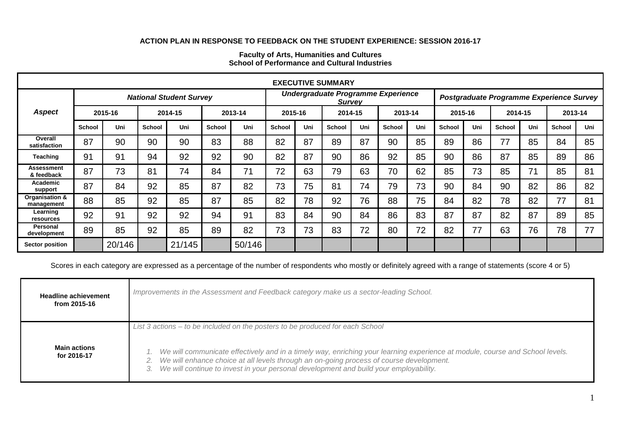## **ACTION PLAN IN RESPONSE TO FEEDBACK ON THE STUDENT EXPERIENCE: SESSION 2016-17**

| <b>EXECUTIVE SUMMARY</b>        |                                |         |               |         |                                                     |         |               |     |                                          |     |         |     |               |     |               |     |               |     |
|---------------------------------|--------------------------------|---------|---------------|---------|-----------------------------------------------------|---------|---------------|-----|------------------------------------------|-----|---------|-----|---------------|-----|---------------|-----|---------------|-----|
|                                 | <b>National Student Survey</b> |         |               |         | Undergraduate Programme Experience<br><b>Survey</b> |         |               |     | Postgraduate Programme Experience Survey |     |         |     |               |     |               |     |               |     |
| <b>Aspect</b>                   |                                | 2015-16 |               | 2014-15 |                                                     | 2013-14 | 2015-16       |     | 2014-15                                  |     | 2013-14 |     | 2015-16       |     | 2014-15       |     | 2013-14       |     |
|                                 | <b>School</b>                  | Uni     | <b>School</b> | Uni     | <b>School</b>                                       | Uni     | <b>School</b> | Uni | <b>School</b>                            | Uni | School  | Uni | <b>School</b> | Uni | <b>School</b> | Uni | <b>School</b> | Uni |
| Overall<br>satisfaction         | 87                             | 90      | 90            | 90      | 83                                                  | 88      | 82            | 87  | 89                                       | 87  | 90      | 85  | 89            | 86  | 77            | 85  | 84            | 85  |
| <b>Teaching</b>                 | 91                             | 91      | 94            | 92      | 92                                                  | 90      | 82            | 87  | 90                                       | 86  | 92      | 85  | 90            | 86  | 87            | 85  | 89            | 86  |
| <b>Assessment</b><br>& feedback | 87                             | 73      | 81            | 74      | 84                                                  | 71      | 72            | 63  | 79                                       | 63  | 70      | 62  | 85            | 73  | 85            | 71  | 85            | 81  |
| Academic<br>support             | 87                             | 84      | 92            | 85      | 87                                                  | 82      | 73            | 75  | 81                                       | 74  | 79      | 73  | 90            | 84  | 90            | 82  | 86            | 82  |
| Organisation &<br>management    | 88                             | 85      | 92            | 85      | 87                                                  | 85      | 82            | 78  | 92                                       | 76  | 88      | 75  | 84            | 82  | 78            | 82  | 77            | 81  |
| Learning<br>resources           | 92                             | 91      | 92            | 92      | 94                                                  | 91      | 83            | 84  | 90                                       | 84  | 86      | 83  | 87            | 87  | 82            | 87  | 89            | 85  |
| Personal<br>development         | 89                             | 85      | 92            | 85      | 89                                                  | 82      | 73            | 73  | 83                                       | 72  | 80      | 72  | 82            | 77  | 63            | 76  | 78            | 77  |
| <b>Sector position</b>          |                                | 20/146  |               | 21/145  |                                                     | 50/146  |               |     |                                          |     |         |     |               |     |               |     |               |     |

## **Faculty of Arts, Humanities and Cultures School of Performance and Cultural Industries**

Scores in each category are expressed as a percentage of the number of respondents who mostly or definitely agreed with a range of statements (score 4 or 5)

| <b>Headline achievement</b><br>from 2015-16 | Improvements in the Assessment and Feedback category make us a sector-leading School.                                                                                                                                                                                                                                                                                                             |  |  |  |  |  |
|---------------------------------------------|---------------------------------------------------------------------------------------------------------------------------------------------------------------------------------------------------------------------------------------------------------------------------------------------------------------------------------------------------------------------------------------------------|--|--|--|--|--|
| <b>Main actions</b><br>for 2016-17          | List 3 actions – to be included on the posters to be produced for each School<br>We will communicate effectively and in a timely way, enriching your learning experience at module, course and School levels.<br>We will enhance choice at all levels through an on-going process of course development.<br>We will continue to invest in your personal development and build your employability. |  |  |  |  |  |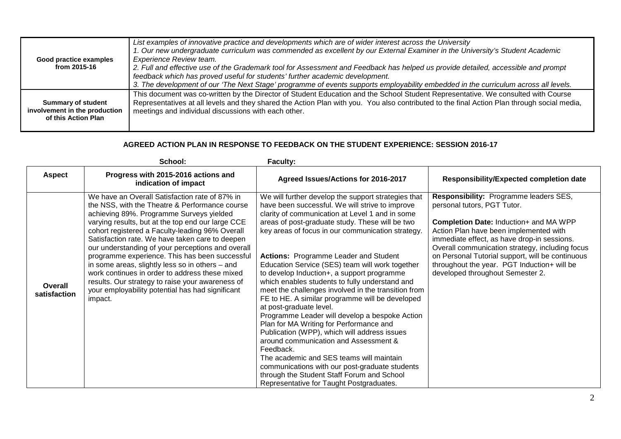| Good practice examples<br>from 2015-16 | List examples of innovative practice and developments which are of wider interest across the University<br>1. Our new undergraduate curriculum was commended as excellent by our External Examiner in the University's Student Academic<br><b>Experience Review team.</b><br>2. Full and effective use of the Grademark tool for Assessment and Feedback has helped us provide detailed, accessible and prompt<br>feedback which has proved useful for students' further academic development.<br>3. The development of our 'The Next Stage' programme of events supports employability embedded in the curriculum across all levels. |
|----------------------------------------|---------------------------------------------------------------------------------------------------------------------------------------------------------------------------------------------------------------------------------------------------------------------------------------------------------------------------------------------------------------------------------------------------------------------------------------------------------------------------------------------------------------------------------------------------------------------------------------------------------------------------------------|
| <b>Summary of student</b>              | This document was co-written by the Director of Student Education and the School Student Representative. We consulted with Course                                                                                                                                                                                                                                                                                                                                                                                                                                                                                                     |
| involvement in the production          | Representatives at all levels and they shared the Action Plan with you. You also contributed to the final Action Plan through social media,                                                                                                                                                                                                                                                                                                                                                                                                                                                                                           |
| of this Action Plan                    | meetings and individual discussions with each other.                                                                                                                                                                                                                                                                                                                                                                                                                                                                                                                                                                                  |

## **AGREED ACTION PLAN IN RESPONSE TO FEEDBACK ON THE STUDENT EXPERIENCE: SESSION 2016-17**

|                         | School:                                                                                                                                                                                                                                                                                                                                                                                                                                                                                                                                                                                                                                  | <b>Faculty:</b>                                                                                                                                                                                                                                                                                                                                                                                                                                                                                                                                                                                                                                                                                                                                                                                                                                                                                                                                                                                      |                                                                                                                                                                                                                                                                                                                                                                                                           |
|-------------------------|------------------------------------------------------------------------------------------------------------------------------------------------------------------------------------------------------------------------------------------------------------------------------------------------------------------------------------------------------------------------------------------------------------------------------------------------------------------------------------------------------------------------------------------------------------------------------------------------------------------------------------------|------------------------------------------------------------------------------------------------------------------------------------------------------------------------------------------------------------------------------------------------------------------------------------------------------------------------------------------------------------------------------------------------------------------------------------------------------------------------------------------------------------------------------------------------------------------------------------------------------------------------------------------------------------------------------------------------------------------------------------------------------------------------------------------------------------------------------------------------------------------------------------------------------------------------------------------------------------------------------------------------------|-----------------------------------------------------------------------------------------------------------------------------------------------------------------------------------------------------------------------------------------------------------------------------------------------------------------------------------------------------------------------------------------------------------|
| <b>Aspect</b>           | Progress with 2015-2016 actions and<br>indication of impact                                                                                                                                                                                                                                                                                                                                                                                                                                                                                                                                                                              | Agreed Issues/Actions for 2016-2017                                                                                                                                                                                                                                                                                                                                                                                                                                                                                                                                                                                                                                                                                                                                                                                                                                                                                                                                                                  | <b>Responsibility/Expected completion date</b>                                                                                                                                                                                                                                                                                                                                                            |
| Overall<br>satisfaction | We have an Overall Satisfaction rate of 87% in<br>the NSS, with the Theatre & Performance course<br>achieving 89%. Programme Surveys yielded<br>varying results, but at the top end our large CCE<br>cohort registered a Faculty-leading 96% Overall<br>Satisfaction rate. We have taken care to deepen<br>our understanding of your perceptions and overall<br>programme experience. This has been successful<br>in some areas, slightly less so in others $-$ and<br>work continues in order to address these mixed<br>results. Our strategy to raise your awareness of<br>your employability potential has had significant<br>impact. | We will further develop the support strategies that<br>have been successful. We will strive to improve<br>clarity of communication at Level 1 and in some<br>areas of post-graduate study. These will be two<br>key areas of focus in our communication strategy.<br><b>Actions: Programme Leader and Student</b><br>Education Service (SES) team will work together<br>to develop Induction+, a support programme<br>which enables students to fully understand and<br>meet the challenges involved in the transition from<br>FE to HE. A similar programme will be developed<br>at post-graduate level.<br>Programme Leader will develop a bespoke Action<br>Plan for MA Writing for Performance and<br>Publication (WPP), which will address issues<br>around communication and Assessment &<br>Feedback.<br>The academic and SES teams will maintain<br>communications with our post-graduate students<br>through the Student Staff Forum and School<br>Representative for Taught Postgraduates. | Responsibility: Programme leaders SES,<br>personal tutors, PGT Tutor.<br><b>Completion Date: Induction+ and MA WPP</b><br>Action Plan have been implemented with<br>immediate effect, as have drop-in sessions.<br>Overall communication strategy, including focus<br>on Personal Tutorial support, will be continuous<br>throughout the year. PGT Induction+ will be<br>developed throughout Semester 2. |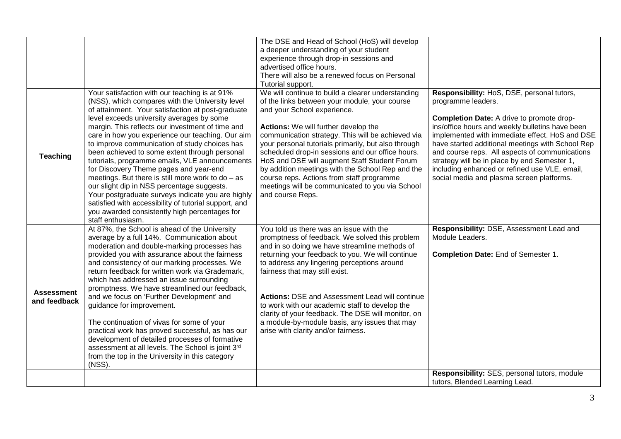|                                   |                                                                                                                                                                                                                                                                                                                                                                                                                                                                                                                                                                                                                                                                                                                                                                                                   | The DSE and Head of School (HoS) will develop<br>a deeper understanding of your student<br>experience through drop-in sessions and                                                                                                                                                                                                                                                                                                                                                                                                                                |                                                                                                                                                                                                                                                                                                                                                                                                                                                                        |
|-----------------------------------|---------------------------------------------------------------------------------------------------------------------------------------------------------------------------------------------------------------------------------------------------------------------------------------------------------------------------------------------------------------------------------------------------------------------------------------------------------------------------------------------------------------------------------------------------------------------------------------------------------------------------------------------------------------------------------------------------------------------------------------------------------------------------------------------------|-------------------------------------------------------------------------------------------------------------------------------------------------------------------------------------------------------------------------------------------------------------------------------------------------------------------------------------------------------------------------------------------------------------------------------------------------------------------------------------------------------------------------------------------------------------------|------------------------------------------------------------------------------------------------------------------------------------------------------------------------------------------------------------------------------------------------------------------------------------------------------------------------------------------------------------------------------------------------------------------------------------------------------------------------|
|                                   |                                                                                                                                                                                                                                                                                                                                                                                                                                                                                                                                                                                                                                                                                                                                                                                                   | advertised office hours.<br>There will also be a renewed focus on Personal<br>Tutorial support.                                                                                                                                                                                                                                                                                                                                                                                                                                                                   |                                                                                                                                                                                                                                                                                                                                                                                                                                                                        |
| <b>Teaching</b>                   | Your satisfaction with our teaching is at 91%<br>(NSS), which compares with the University level<br>of attainment. Your satisfaction at post-graduate<br>level exceeds university averages by some<br>margin. This reflects our investment of time and<br>care in how you experience our teaching. Our aim<br>to improve communication of study choices has<br>been achieved to some extent through personal<br>tutorials, programme emails, VLE announcements<br>for Discovery Theme pages and year-end<br>meetings. But there is still more work to $do - as$<br>our slight dip in NSS percentage suggests.<br>Your postgraduate surveys indicate you are highly<br>satisfied with accessibility of tutorial support, and<br>you awarded consistently high percentages for<br>staff enthusiasm. | We will continue to build a clearer understanding<br>of the links between your module, your course<br>and your School experience.<br>Actions: We will further develop the<br>communication strategy. This will be achieved via<br>your personal tutorials primarily, but also through<br>scheduled drop-in sessions and our office hours.<br>HoS and DSE will augment Staff Student Forum<br>by addition meetings with the School Rep and the<br>course reps. Actions from staff programme<br>meetings will be communicated to you via School<br>and course Reps. | Responsibility: HoS, DSE, personal tutors,<br>programme leaders.<br>Completion Date: A drive to promote drop-<br>ins/office hours and weekly bulletins have been<br>implemented with immediate effect. HoS and DSE<br>have started additional meetings with School Rep<br>and course reps. All aspects of communications<br>strategy will be in place by end Semester 1,<br>including enhanced or refined use VLE, email,<br>social media and plasma screen platforms. |
| <b>Assessment</b><br>and feedback | At 87%, the School is ahead of the University<br>average by a full 14%. Communication about<br>moderation and double-marking processes has<br>provided you with assurance about the fairness<br>and consistency of our marking processes. We<br>return feedback for written work via Grademark,<br>which has addressed an issue surrounding<br>promptness. We have streamlined our feedback,<br>and we focus on 'Further Development' and<br>guidance for improvement.<br>The continuation of vivas for some of your<br>practical work has proved successful, as has our<br>development of detailed processes of formative<br>assessment at all levels. The School is joint 3rd<br>from the top in the University in this category<br>(NSS).                                                      | You told us there was an issue with the<br>promptness of feedback. We solved this problem<br>and in so doing we have streamline methods of<br>returning your feedback to you. We will continue<br>to address any lingering perceptions around<br>fairness that may still exist.<br><b>Actions: DSE and Assessment Lead will continue</b><br>to work with our academic staff to develop the<br>clarity of your feedback. The DSE will monitor, on<br>a module-by-module basis, any issues that may<br>arise with clarity and/or fairness.                          | Responsibility: DSE, Assessment Lead and<br>Module Leaders.<br>Completion Date: End of Semester 1.                                                                                                                                                                                                                                                                                                                                                                     |
|                                   |                                                                                                                                                                                                                                                                                                                                                                                                                                                                                                                                                                                                                                                                                                                                                                                                   |                                                                                                                                                                                                                                                                                                                                                                                                                                                                                                                                                                   | Responsibility: SES, personal tutors, module<br>tutors, Blended Learning Lead.                                                                                                                                                                                                                                                                                                                                                                                         |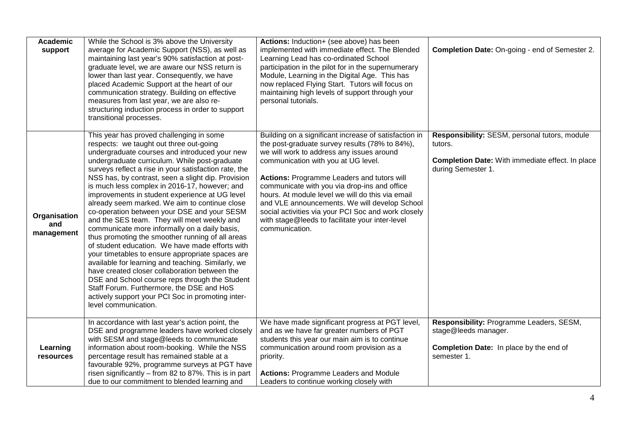| <b>Academic</b><br>support        | While the School is 3% above the University<br>average for Academic Support (NSS), as well as<br>maintaining last year's 90% satisfaction at post-<br>graduate level, we are aware our NSS return is<br>lower than last year. Consequently, we have<br>placed Academic Support at the heart of our<br>communication strategy. Building on effective<br>measures from last year, we are also re-<br>structuring induction process in order to support<br>transitional processes.                                                                                                                                                                                                                                                                                                                                                                                                                                                                                                                                                                       | Actions: Induction+ (see above) has been<br>implemented with immediate effect. The Blended<br>Learning Lead has co-ordinated School<br>participation in the pilot for in the supernumerary<br>Module, Learning in the Digital Age. This has<br>now replaced Flying Start. Tutors will focus on<br>maintaining high levels of support through your<br>personal tutorials.                                                                                                                                                   | Completion Date: On-going - end of Semester 2.                                                                                            |
|-----------------------------------|-------------------------------------------------------------------------------------------------------------------------------------------------------------------------------------------------------------------------------------------------------------------------------------------------------------------------------------------------------------------------------------------------------------------------------------------------------------------------------------------------------------------------------------------------------------------------------------------------------------------------------------------------------------------------------------------------------------------------------------------------------------------------------------------------------------------------------------------------------------------------------------------------------------------------------------------------------------------------------------------------------------------------------------------------------|----------------------------------------------------------------------------------------------------------------------------------------------------------------------------------------------------------------------------------------------------------------------------------------------------------------------------------------------------------------------------------------------------------------------------------------------------------------------------------------------------------------------------|-------------------------------------------------------------------------------------------------------------------------------------------|
| Organisation<br>and<br>management | This year has proved challenging in some<br>respects: we taught out three out-going<br>undergraduate courses and introduced your new<br>undergraduate curriculum. While post-graduate<br>surveys reflect a rise in your satisfaction rate, the<br>NSS has, by contrast, seen a slight dip. Provision<br>is much less complex in 2016-17, however; and<br>improvements in student experience at UG level<br>already seem marked. We aim to continue close<br>co-operation between your DSE and your SESM<br>and the SES team. They will meet weekly and<br>communicate more informally on a daily basis,<br>thus promoting the smoother running of all areas<br>of student education. We have made efforts with<br>your timetables to ensure appropriate spaces are<br>available for learning and teaching. Similarly, we<br>have created closer collaboration between the<br>DSE and School course reps through the Student<br>Staff Forum. Furthermore, the DSE and HoS<br>actively support your PCI Soc in promoting inter-<br>level communication. | Building on a significant increase of satisfaction in<br>the post-graduate survey results (78% to 84%),<br>we will work to address any issues around<br>communication with you at UG level.<br>Actions: Programme Leaders and tutors will<br>communicate with you via drop-ins and office<br>hours. At module level we will do this via email<br>and VLE announcements. We will develop School<br>social activities via your PCI Soc and work closely<br>with stage@leeds to facilitate your inter-level<br>communication. | Responsibility: SESM, personal tutors, module<br>tutors.<br><b>Completion Date: With immediate effect. In place</b><br>during Semester 1. |
| Learning<br>resources             | In accordance with last year's action point, the<br>DSE and programme leaders have worked closely<br>with SESM and stage@leeds to communicate<br>information about room-booking. While the NSS<br>percentage result has remained stable at a<br>favourable 92%, programme surveys at PGT have<br>risen significantly - from 82 to 87%. This is in part<br>due to our commitment to blended learning and                                                                                                                                                                                                                                                                                                                                                                                                                                                                                                                                                                                                                                               | We have made significant progress at PGT level,<br>and as we have far greater numbers of PGT<br>students this year our main aim is to continue<br>communication around room provision as a<br>priority.<br><b>Actions: Programme Leaders and Module</b><br>Leaders to continue working closely with                                                                                                                                                                                                                        | Responsibility: Programme Leaders, SESM,<br>stage@leeds manager.<br><b>Completion Date:</b> In place by the end of<br>semester 1.         |